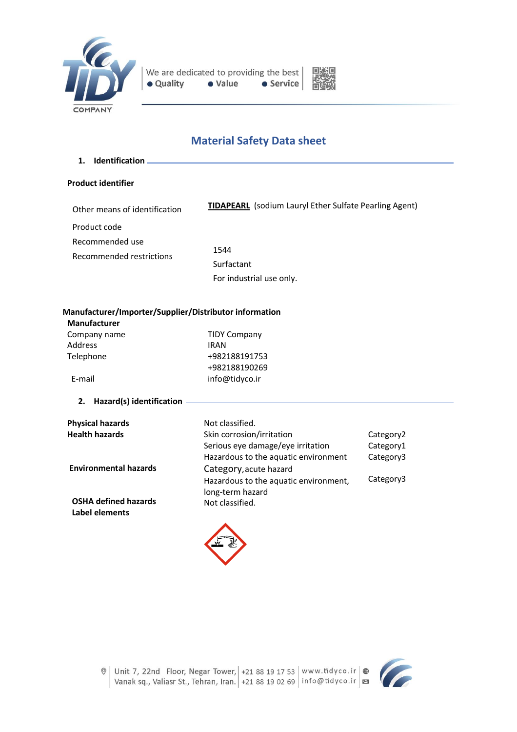



# **Material Safety Data sheet**

**1. Identification**

# **Product identifier**

| Other means of identification               | <b>TIDAPEARL</b> (sodium Lauryl Ether Sulfate Pearling Agent) |
|---------------------------------------------|---------------------------------------------------------------|
| Product code                                |                                                               |
| Recommended use<br>Recommended restrictions | 1544                                                          |
|                                             | Surfactant                                                    |
|                                             | For industrial use only.                                      |

# **Manufacturer/Importer/Supplier/Distributor information**

**Manufacturer**

| Company name | <b>TIDY Company</b> |
|--------------|---------------------|
| Address      | <b>IRAN</b>         |
| Telephone    | +982188191753       |
|              | +982188190269       |
| E-mail       | info@tidyco.ir      |

# **2. Hazard(s) identification**

| <b>Physical hazards</b>                       | Not classified.                                           |           |
|-----------------------------------------------|-----------------------------------------------------------|-----------|
| <b>Health hazards</b>                         | Skin corrosion/irritation                                 | Category2 |
|                                               | Serious eye damage/eye irritation                         | Category1 |
|                                               | Hazardous to the aquatic environment                      | Category3 |
| <b>Environmental hazards</b>                  | Category, acute hazard                                    |           |
|                                               | Hazardous to the aquatic environment,<br>long-term hazard | Category3 |
| <b>OSHA defined hazards</b><br>Label elements | Not classified.                                           |           |



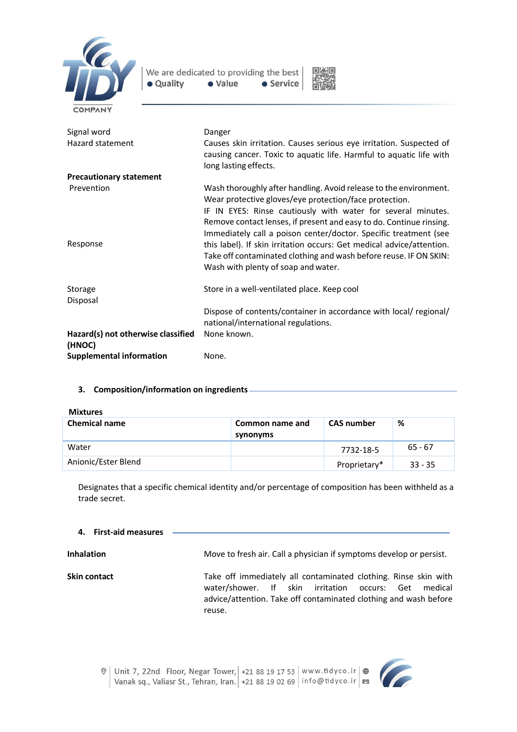



| Signal word<br>Hazard statement              | Danger<br>Causes skin irritation. Causes serious eye irritation. Suspected of<br>causing cancer. Toxic to aquatic life. Harmful to aquatic life with<br>long lasting effects.                                                                                                                                                          |
|----------------------------------------------|----------------------------------------------------------------------------------------------------------------------------------------------------------------------------------------------------------------------------------------------------------------------------------------------------------------------------------------|
| <b>Precautionary statement</b>               |                                                                                                                                                                                                                                                                                                                                        |
| Prevention                                   | Wash thoroughly after handling. Avoid release to the environment.<br>Wear protective gloves/eye protection/face protection.<br>IF IN EYES: Rinse cautiously with water for several minutes.<br>Remove contact lenses, if present and easy to do. Continue rinsing.<br>Immediately call a poison center/doctor. Specific treatment (see |
| Response                                     | this label). If skin irritation occurs: Get medical advice/attention.<br>Take off contaminated clothing and wash before reuse. IF ON SKIN:<br>Wash with plenty of soap and water.                                                                                                                                                      |
| Storage<br>Disposal                          | Store in a well-ventilated place. Keep cool                                                                                                                                                                                                                                                                                            |
|                                              | Dispose of contents/container in accordance with local/ regional/<br>national/international regulations.                                                                                                                                                                                                                               |
| Hazard(s) not otherwise classified<br>(HNOC) | None known.                                                                                                                                                                                                                                                                                                                            |
| <b>Supplemental information</b>              | None.                                                                                                                                                                                                                                                                                                                                  |

# **3. Composition/information on ingredients**

| <b>Chemical name</b> | Common name and<br>synonyms | <b>CAS number</b> | %         |
|----------------------|-----------------------------|-------------------|-----------|
| Water                |                             | 7732-18-5         | $65 - 67$ |
| Anionic/Ester Blend  |                             | Proprietary*      | $33 - 35$ |

Designates that a specific chemical identity and/or percentage of composition has been withheld as a trade secret.

#### **4. First-aid measures**

**Inhalation** Move to fresh air. Call a physician if symptoms develop or persist.

**Skin contact** Take off immediately all contaminated clothing. Rinse skin with water/shower. If skin irritation occurs: Get medical advice/attention. Take off contaminated clothing and wash before reuse.

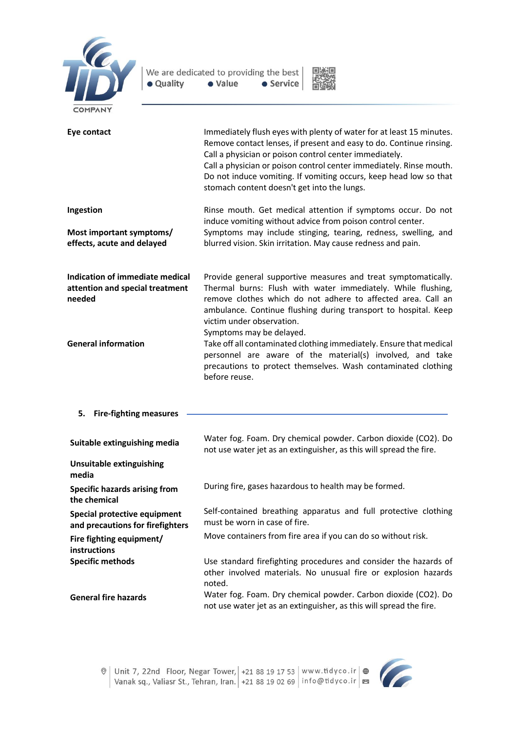



| <b>LUITAN</b>                                                                |                                                                                                                                                                                                                                                                                                                                                                                                  |
|------------------------------------------------------------------------------|--------------------------------------------------------------------------------------------------------------------------------------------------------------------------------------------------------------------------------------------------------------------------------------------------------------------------------------------------------------------------------------------------|
| Eye contact                                                                  | Immediately flush eyes with plenty of water for at least 15 minutes.<br>Remove contact lenses, if present and easy to do. Continue rinsing.<br>Call a physician or poison control center immediately.<br>Call a physician or poison control center immediately. Rinse mouth.<br>Do not induce vomiting. If vomiting occurs, keep head low so that<br>stomach content doesn't get into the lungs. |
| Ingestion                                                                    | Rinse mouth. Get medical attention if symptoms occur. Do not<br>induce vomiting without advice from poison control center.                                                                                                                                                                                                                                                                       |
| Most important symptoms/<br>effects, acute and delayed                       | Symptoms may include stinging, tearing, redness, swelling, and<br>blurred vision. Skin irritation. May cause redness and pain.                                                                                                                                                                                                                                                                   |
| Indication of immediate medical<br>attention and special treatment<br>needed | Provide general supportive measures and treat symptomatically.<br>Thermal burns: Flush with water immediately. While flushing,<br>remove clothes which do not adhere to affected area. Call an<br>ambulance. Continue flushing during transport to hospital. Keep<br>victim under observation.<br>Symptoms may be delayed.                                                                       |
| <b>General information</b>                                                   | Take off all contaminated clothing immediately. Ensure that medical<br>personnel are aware of the material(s) involved, and take<br>precautions to protect themselves. Wash contaminated clothing<br>before reuse.                                                                                                                                                                               |
| <b>Fire-fighting measures</b><br>5.                                          |                                                                                                                                                                                                                                                                                                                                                                                                  |
| Suitable extinguishing media                                                 | Water fog. Foam. Dry chemical powder. Carbon dioxide (CO2). Do<br>not use water jet as an extinguisher, as this will spread the fire.                                                                                                                                                                                                                                                            |
| <b>Unsuitable extinguishing</b><br>media                                     |                                                                                                                                                                                                                                                                                                                                                                                                  |
| <b>Specific hazards arising from</b><br>the chemical                         | During fire, gases hazardous to health may be formed.                                                                                                                                                                                                                                                                                                                                            |
| Special protective equipment<br>and precautions for firefighters             | Self-contained breathing apparatus and full protective clothing<br>must be worn in case of fire.                                                                                                                                                                                                                                                                                                 |
| Fire fighting equipment/<br>instructions                                     | Move containers from fire area if you can do so without risk.                                                                                                                                                                                                                                                                                                                                    |
| <b>Specific methods</b>                                                      | Use standard firefighting procedures and consider the hazards of<br>other involved materials. No unusual fire or explosion hazards<br>noted.                                                                                                                                                                                                                                                     |
| <b>General fire hazards</b>                                                  | Water fog. Foam. Dry chemical powder. Carbon dioxide (CO2). Do<br>not use water jet as an extinguisher, as this will spread the fire.                                                                                                                                                                                                                                                            |

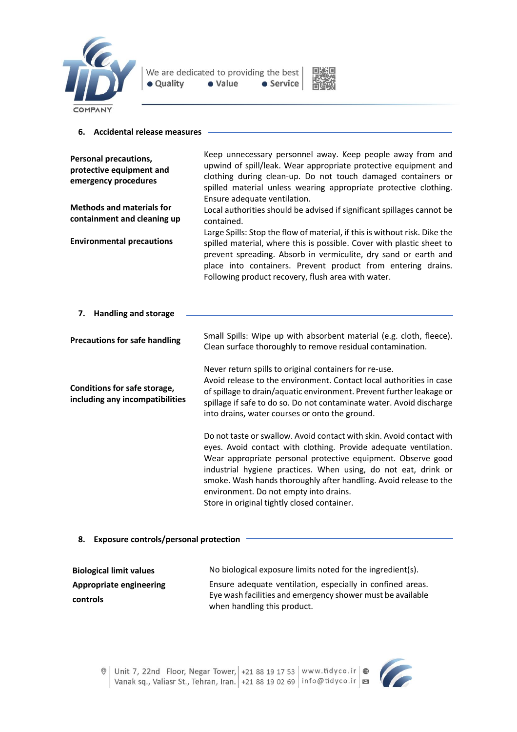



#### **6. Accidental release measures**

| <b>Personal precautions,</b><br>protective equipment and<br>emergency procedures | Keep unnecessary personnel away. Keep people away from and<br>upwind of spill/leak. Wear appropriate protective equipment and<br>clothing during clean-up. Do not touch damaged containers or<br>spilled material unless wearing appropriate protective clothing.                                                                                                                                                                        |
|----------------------------------------------------------------------------------|------------------------------------------------------------------------------------------------------------------------------------------------------------------------------------------------------------------------------------------------------------------------------------------------------------------------------------------------------------------------------------------------------------------------------------------|
| <b>Methods and materials for</b><br>containment and cleaning up                  | Ensure adequate ventilation.<br>Local authorities should be advised if significant spillages cannot be<br>contained.<br>Large Spills: Stop the flow of material, if this is without risk. Dike the                                                                                                                                                                                                                                       |
| <b>Environmental precautions</b>                                                 | spilled material, where this is possible. Cover with plastic sheet to<br>prevent spreading. Absorb in vermiculite, dry sand or earth and<br>place into containers. Prevent product from entering drains.<br>Following product recovery, flush area with water.                                                                                                                                                                           |
| <b>Handling and storage</b><br>7.                                                |                                                                                                                                                                                                                                                                                                                                                                                                                                          |
| <b>Precautions for safe handling</b>                                             | Small Spills: Wipe up with absorbent material (e.g. cloth, fleece).<br>Clean surface thoroughly to remove residual contamination.                                                                                                                                                                                                                                                                                                        |
| Conditions for safe storage,<br>including any incompatibilities                  | Never return spills to original containers for re-use.<br>Avoid release to the environment. Contact local authorities in case<br>of spillage to drain/aquatic environment. Prevent further leakage or<br>spillage if safe to do so. Do not contaminate water. Avoid discharge<br>into drains, water courses or onto the ground.                                                                                                          |
|                                                                                  | Do not taste or swallow. Avoid contact with skin. Avoid contact with<br>eyes. Avoid contact with clothing. Provide adequate ventilation.<br>Wear appropriate personal protective equipment. Observe good<br>industrial hygiene practices. When using, do not eat, drink or<br>smoke. Wash hands thoroughly after handling. Avoid release to the<br>environment. Do not empty into drains.<br>Store in original tightly closed container. |

# **8. Exposure controls/personal protection**

| <b>Biological limit values</b> | No biological exposure limits noted for the ingredient(s).                                                               |
|--------------------------------|--------------------------------------------------------------------------------------------------------------------------|
| Appropriate engineering        | Ensure adequate ventilation, especially in confined areas.<br>Eye wash facilities and emergency shower must be available |
| <b>controls</b>                | when handling this product.                                                                                              |

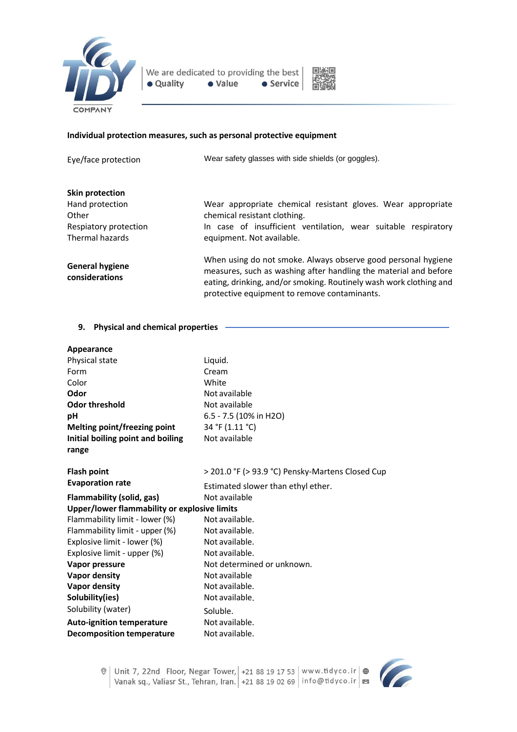

We are dedicated to providing the best · Value · Quality • Service



#### **Individual protection measures, such as personal protective equipment**

Eye/face protection Wear safety glasses with side shields (or goggles).

#### **Skin protection**

| Hand protection<br>Other<br>Respiatory protection | Wear appropriate chemical resistant gloves. Wear appropriate<br>chemical resistant clothing.<br>In case of insufficient ventilation, wear suitable respiratory                                                                                          |
|---------------------------------------------------|---------------------------------------------------------------------------------------------------------------------------------------------------------------------------------------------------------------------------------------------------------|
| Thermal hazards                                   | equipment. Not available.                                                                                                                                                                                                                               |
| <b>General hygiene</b><br>considerations          | When using do not smoke. Always observe good personal hygiene<br>measures, such as washing after handling the material and before<br>eating, drinking, and/or smoking. Routinely wash work clothing and<br>protective equipment to remove contaminants. |

### **9. Physical and chemical properties**

| Appearance                                   |                                                  |
|----------------------------------------------|--------------------------------------------------|
| Physical state                               | Liquid.                                          |
| Form                                         | Cream                                            |
| Color                                        | White                                            |
| Odor                                         | Not available                                    |
| <b>Odor threshold</b>                        | Not available                                    |
| рH                                           | 6.5 - 7.5 (10% in H2O)                           |
| Melting point/freezing point                 | 34 °F (1.11 °C)                                  |
| Initial boiling point and boiling            | Not available                                    |
| range                                        |                                                  |
| <b>Flash point</b>                           | > 201.0 °F (> 93.9 °C) Pensky-Martens Closed Cup |
| <b>Evaporation rate</b>                      | Estimated slower than ethyl ether.               |
| Flammability (solid, gas)                    | Not available                                    |
| Upper/lower flammability or explosive limits |                                                  |
| Flammability limit - lower (%)               | Not available.                                   |
| Flammability limit - upper (%)               | Not available.                                   |
| Explosive limit - lower (%)                  | Not available.                                   |
| Explosive limit - upper (%)                  | Not available.                                   |
| Vapor pressure                               | Not determined or unknown.                       |
| <b>Vapor density</b>                         | Not available                                    |
| <b>Vapor density</b>                         | Not available.                                   |
| Solubility(ies)                              | Not available.                                   |
| Solubility (water)                           | Soluble.                                         |
| <b>Auto-ignition temperature</b>             | Not available.                                   |
| <b>Decomposition temperature</b>             | Not available.                                   |

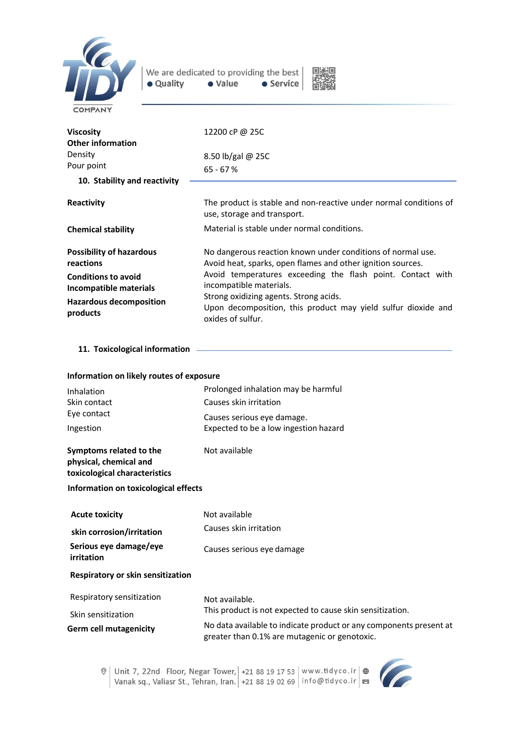



| <b>Viscosity</b><br>Other information<br>Density<br>Pour point<br>10. Stability and reactivity                                              | 12200 cP @ 25C<br>8.50 lb/gal $@$ 25C<br>$65 - 67%$                                                                                                                                                                                                                                                                                                 |
|---------------------------------------------------------------------------------------------------------------------------------------------|-----------------------------------------------------------------------------------------------------------------------------------------------------------------------------------------------------------------------------------------------------------------------------------------------------------------------------------------------------|
|                                                                                                                                             |                                                                                                                                                                                                                                                                                                                                                     |
| Reactivity                                                                                                                                  | The product is stable and non-reactive under normal conditions of<br>use, storage and transport.                                                                                                                                                                                                                                                    |
| <b>Chemical stability</b>                                                                                                                   | Material is stable under normal conditions.                                                                                                                                                                                                                                                                                                         |
| <b>Possibility of hazardous</b><br>reactions<br><b>Conditions to avoid</b><br>Incompatible materials<br>Hazardous decomposition<br>products | No dangerous reaction known under conditions of normal use.<br>Avoid heat, sparks, open flames and other ignition sources.<br>Avoid temperatures exceeding the flash point. Contact with<br>incompatible materials.<br>Strong oxidizing agents. Strong acids.<br>Upon decomposition, this product may yield sulfur dioxide and<br>oxides of sulfur. |

**11. Toxicological information** 

| Information on likely routes of exposure                                           |                                                                                                                     |  |
|------------------------------------------------------------------------------------|---------------------------------------------------------------------------------------------------------------------|--|
| Inhalation                                                                         | Prolonged inhalation may be harmful                                                                                 |  |
| Skin contact                                                                       | Causes skin irritation                                                                                              |  |
| Eye contact                                                                        | Causes serious eye damage.                                                                                          |  |
| Ingestion                                                                          | Expected to be a low ingestion hazard                                                                               |  |
| Symptoms related to the<br>physical, chemical and<br>toxicological characteristics | Not available                                                                                                       |  |
| Information on toxicological effects                                               |                                                                                                                     |  |
| <b>Acute toxicity</b>                                                              | Not available                                                                                                       |  |
| skin corrosion/irritation                                                          | Causes skin irritation                                                                                              |  |
| Serious eye damage/eye<br>irritation                                               | Causes serious eye damage                                                                                           |  |
| <b>Respiratory or skin sensitization</b>                                           |                                                                                                                     |  |
| Respiratory sensitization                                                          | Not available.                                                                                                      |  |
| Skin sensitization                                                                 | This product is not expected to cause skin sensitization.                                                           |  |
| <b>Germ cell mutagenicity</b>                                                      | No data available to indicate product or any components present at<br>greater than 0.1% are mutagenic or genotoxic. |  |

© | Unit 7, 22nd Floor, Negar Tower, | +21 88 19 17 53 | www.tidyco.ir | ⊕<br>| Vanak sq., Valiasr St., Tehran, Iran. | +21 88 19 02 69 | info@tidyco.ir | ⊠

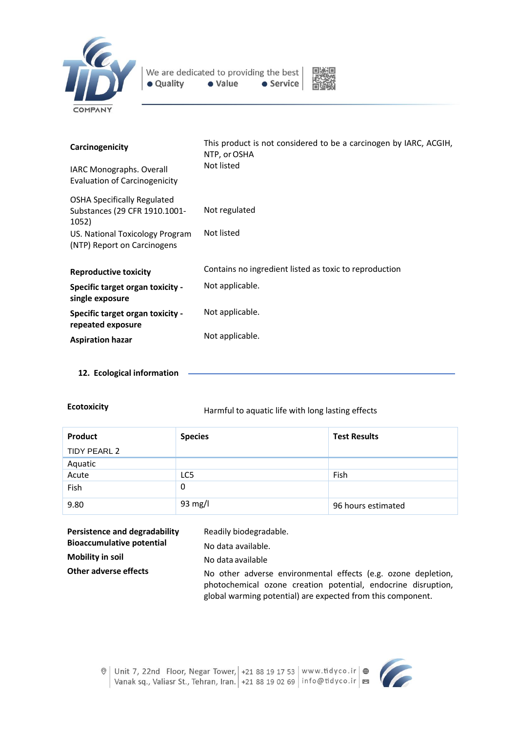



| Carcinogenicity                                                              | This product is not considered to be a carcinogen by IARC, ACGIH,<br>NTP, or OSHA |  |
|------------------------------------------------------------------------------|-----------------------------------------------------------------------------------|--|
| IARC Monographs. Overall<br><b>Evaluation of Carcinogenicity</b>             | Not listed                                                                        |  |
| <b>OSHA Specifically Regulated</b><br>Substances (29 CFR 1910.1001-<br>1052) | Not regulated                                                                     |  |
| US. National Toxicology Program<br>(NTP) Report on Carcinogens               | Not listed                                                                        |  |
| <b>Reproductive toxicity</b>                                                 | Contains no ingredient listed as toxic to reproduction                            |  |
| <b>Specific target organ toxicity -</b><br>single exposure                   | Not applicable.                                                                   |  |
| <b>Specific target organ toxicity -</b><br>repeated exposure                 | Not applicable.                                                                   |  |
| <b>Aspiration hazar</b>                                                      | Not applicable.                                                                   |  |

**12. Ecological information**

**Ecotoxicity Ecotoxicity Harmful to aquatic life with long lasting effects** 

| Product      | <b>Species</b> | <b>Test Results</b> |
|--------------|----------------|---------------------|
| TIDY PEARL 2 |                |                     |
| Aquatic      |                |                     |
| Acute        | LC5            | Fish                |
| Fish         | 0              |                     |
| 9.80         | 93 mg/l        | 96 hours estimated  |

| Persistence and degradability    | Readily biodegradable.                                                                                                                                                                        |
|----------------------------------|-----------------------------------------------------------------------------------------------------------------------------------------------------------------------------------------------|
| <b>Bioaccumulative potential</b> | No data available.                                                                                                                                                                            |
| <b>Mobility in soil</b>          | No data available                                                                                                                                                                             |
| Other adverse effects            | No other adverse environmental effects (e.g. ozone depletion,<br>photochemical ozone creation potential, endocrine disruption,<br>global warming potential) are expected from this component. |

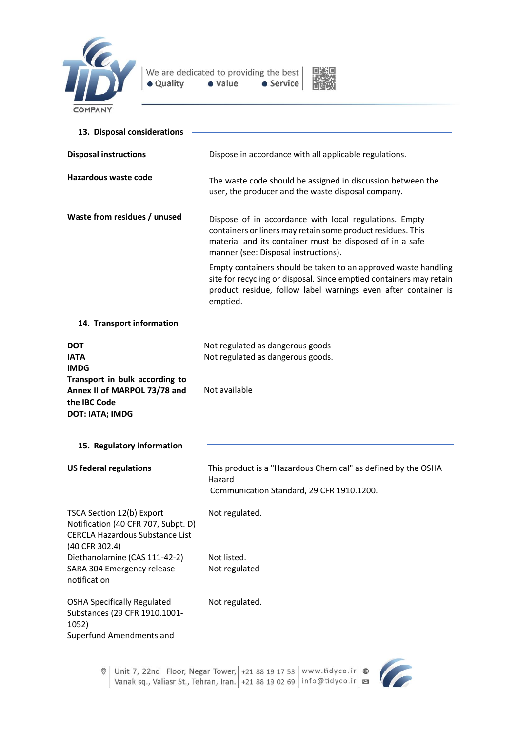



| 13. Disposal considerations                                                                                                  |                                                                                                                                                                                                                           |  |
|------------------------------------------------------------------------------------------------------------------------------|---------------------------------------------------------------------------------------------------------------------------------------------------------------------------------------------------------------------------|--|
| <b>Disposal instructions</b>                                                                                                 | Dispose in accordance with all applicable regulations.                                                                                                                                                                    |  |
| Hazardous waste code                                                                                                         | The waste code should be assigned in discussion between the<br>user, the producer and the waste disposal company.                                                                                                         |  |
| Waste from residues / unused                                                                                                 | Dispose of in accordance with local regulations. Empty<br>containers or liners may retain some product residues. This<br>material and its container must be disposed of in a safe<br>manner (see: Disposal instructions). |  |
|                                                                                                                              | Empty containers should be taken to an approved waste handling<br>site for recycling or disposal. Since emptied containers may retain<br>product residue, follow label warnings even after container is<br>emptied.       |  |
| 14. Transport information                                                                                                    |                                                                                                                                                                                                                           |  |
| DOT<br><b>IATA</b><br><b>IMDG</b>                                                                                            | Not regulated as dangerous goods<br>Not regulated as dangerous goods.                                                                                                                                                     |  |
| Transport in bulk according to<br>Annex II of MARPOL 73/78 and<br>the IBC Code<br><b>DOT: IATA; IMDG</b>                     | Not available                                                                                                                                                                                                             |  |
| 15. Regulatory information                                                                                                   |                                                                                                                                                                                                                           |  |
| <b>US federal regulations</b>                                                                                                | This product is a "Hazardous Chemical" as defined by the OSHA<br>Hazard<br>Communication Standard, 29 CFR 1910.1200.                                                                                                      |  |
| TSCA Section 12(b) Export<br>Notification (40 CFR 707, Subpt. D)<br><b>CERCLA Hazardous Substance List</b><br>(40 CFR 302.4) | Not regulated.                                                                                                                                                                                                            |  |
| Diethanolamine (CAS 111-42-2)<br>SARA 304 Emergency release<br>notification                                                  | Not listed.<br>Not regulated                                                                                                                                                                                              |  |
| <b>OSHA Specifically Regulated</b><br>Substances (29 CFR 1910.1001-<br>1052)<br>Superfund Amendments and                     | Not regulated.                                                                                                                                                                                                            |  |



C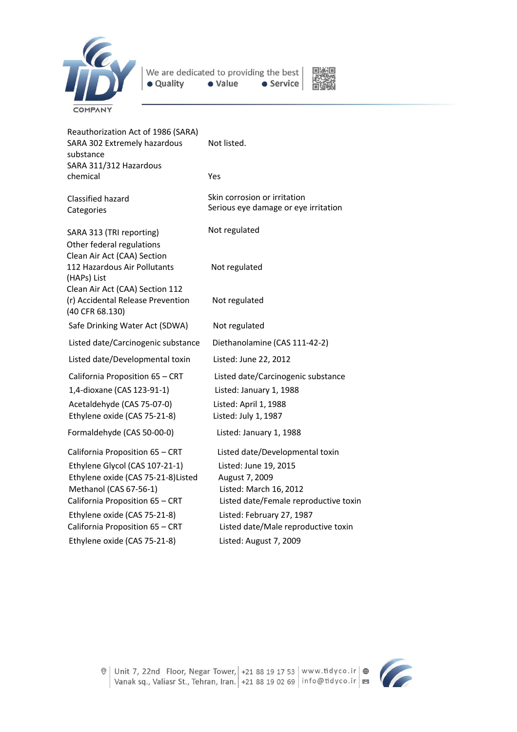



Reauthorization Act of 1986 (SARA) SARA 302 Extremely hazardous substance Not listed. SARA 311/312 Hazardous chemical Yes Classified hazard Categories SARA 313 (TRI reporting) Skin corrosion or irritation Serious eye damage or eye irritation Not regulated Other federal regulations Clean Air Act (CAA) Section 112 Hazardous Air Pollutants Not regulated (HAPs) List Clean Air Act (CAA) Section 112 (r) Accidental Release Prevention Not regulated (40 CFR 68.130) Safe Drinking Water Act (SDWA) Not regulated Listed date/Carcinogenic substance Diethanolamine (CAS 111-42-2) Listed date/Developmental toxin Listed: June 22, 2012 California Proposition 65 – CRT Listed date/Carcinogenic substance 1,4-dioxane (CAS 123-91-1) Listed: January 1, 1988 Acetaldehyde (CAS 75-07-0) Listed: April 1, 1988 Ethylene oxide (CAS 75-21-8) Listed: July 1, 1987 Formaldehyde (CAS 50-00-0) Listed: January 1, 1988 California Proposition 65 – CRT Listed date/Developmental toxin Ethylene Glycol (CAS 107-21-1) Listed: June 19, 2015 Ethylene oxide (CAS 75-21-8)Listed August 7, 2009 Methanol (CAS 67-56-1) Listed: March 16, 2012 California Proposition 65 – CRT Listed date/Female reproductive toxin Ethylene oxide (CAS 75-21-8) Listed: February 27, 1987 California Proposition 65 – CRT Listed date/Male reproductive toxin Ethylene oxide (CAS 75-21-8) Listed: August 7, 2009



Unit 7, 22nd Floor, Negar Tower, +21 88 19 17 53 | www.tidyco.ir  $\bigoplus$ Vanak sq., Valiasr St., Tehran, Iran. +21 88 19 02 69 info@tidyco.ir B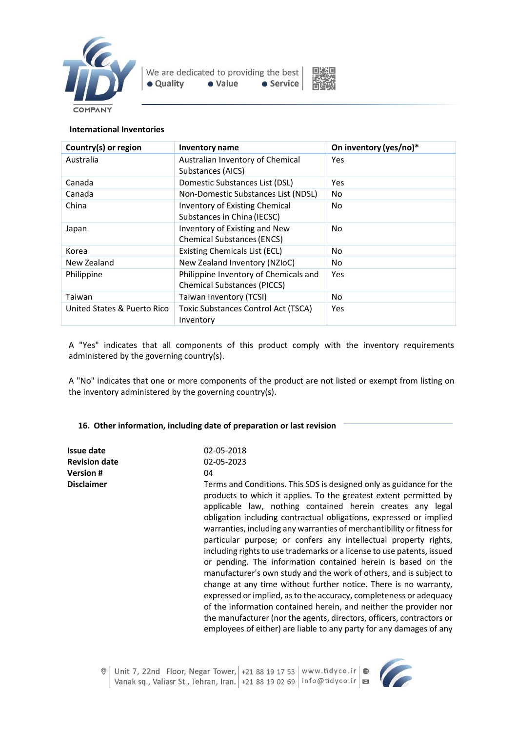



### **International Inventories**

| Country(s) or region        | Inventory name                             | On inventory (yes/no)* |
|-----------------------------|--------------------------------------------|------------------------|
| Australia                   | Australian Inventory of Chemical           | Yes                    |
|                             | Substances (AICS)                          |                        |
| Canada                      | Domestic Substances List (DSL)             | Yes                    |
| Canada                      | Non-Domestic Substances List (NDSL)        | No                     |
| China                       | <b>Inventory of Existing Chemical</b>      | No.                    |
|                             | Substances in China (IECSC)                |                        |
| Japan                       | Inventory of Existing and New              | No.                    |
|                             | <b>Chemical Substances (ENCS)</b>          |                        |
| Korea                       | <b>Existing Chemicals List (ECL)</b>       | No.                    |
| New Zealand                 | New Zealand Inventory (NZIoC)              | No.                    |
| Philippine                  | Philippine Inventory of Chemicals and      | Yes                    |
|                             | <b>Chemical Substances (PICCS)</b>         |                        |
| Taiwan                      | Taiwan Inventory (TCSI)                    | No.                    |
| United States & Puerto Rico | <b>Toxic Substances Control Act (TSCA)</b> | Yes                    |
|                             | Inventory                                  |                        |

A "Yes" indicates that all components of this product comply with the inventory requirements administered by the governing country(s).

A "No" indicates that one or more components of the product are not listed or exempt from listing on the inventory administered by the governing country(s).

# **16. Other information, including date of preparation or last revision**

| Issue date<br><b>Revision date</b><br><b>Version#</b><br><b>Disclaimer</b> | 02-05-2018<br>02-05-2023<br>04<br>Terms and Conditions. This SDS is designed only as guidance for the<br>products to which it applies. To the greatest extent permitted by<br>applicable law, nothing contained herein creates any legal<br>obligation including contractual obligations, expressed or implied<br>warranties, including any warranties of merchantibility or fitness for<br>particular purpose; or confers any intellectual property rights,<br>including rights to use trademarks or a license to use patents, issued<br>or pending. The information contained herein is based on the<br>manufacturer's own study and the work of others, and is subject to<br>change at any time without further notice. There is no warranty,<br>expressed or implied, as to the accuracy, completeness or adequacy<br>of the information contained herein, and neither the provider nor |
|----------------------------------------------------------------------------|---------------------------------------------------------------------------------------------------------------------------------------------------------------------------------------------------------------------------------------------------------------------------------------------------------------------------------------------------------------------------------------------------------------------------------------------------------------------------------------------------------------------------------------------------------------------------------------------------------------------------------------------------------------------------------------------------------------------------------------------------------------------------------------------------------------------------------------------------------------------------------------------|
|                                                                            | the manufacturer (nor the agents, directors, officers, contractors or<br>employees of either) are liable to any party for any damages of any                                                                                                                                                                                                                                                                                                                                                                                                                                                                                                                                                                                                                                                                                                                                                |